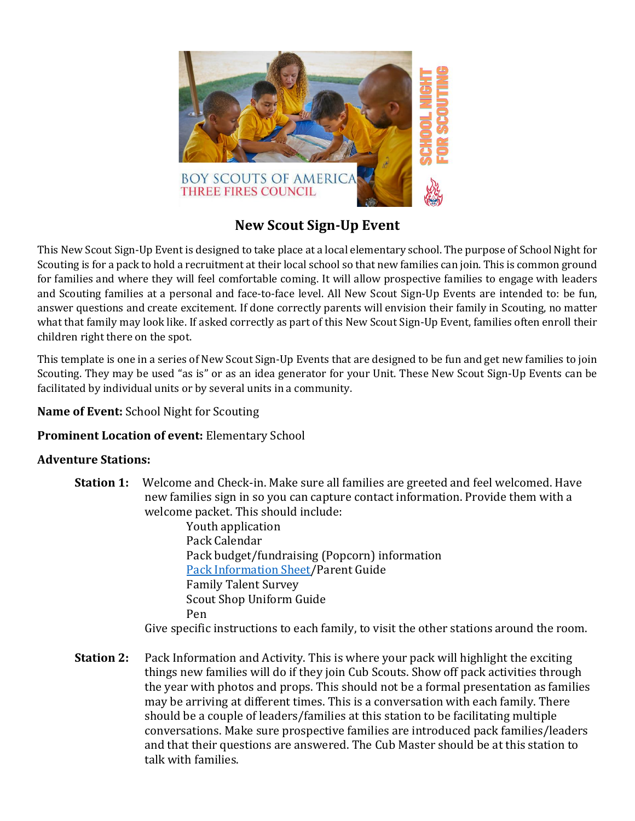

# **New Scout Sign-Up Event**

This New Scout Sign-Up Event is designed to take place at a local elementary school. The purpose of School Night for Scouting is for a pack to hold a recruitment at their local school so that new families can join. This is common ground for families and where they will feel comfortable coming. It will allow prospective families to engage with leaders and Scouting families at a personal and face-to-face level. All New Scout Sign-Up Events are intended to: be fun, answer questions and create excitement. If done correctly parents will envision their family in Scouting, no matter what that family may look like. If asked correctly as part of this New Scout Sign-Up Event, families often enroll their children right there on the spot.

This template is one in a series of New Scout Sign-Up Events that are designed to be fun and get new families to join Scouting. They may be used "as is" or as an idea generator for your Unit. These New Scout Sign-Up Events can be facilitated by individual units or by several units in a community.

#### **Name of Event:** School Night for Scouting

### **Prominent Location of event:** Elementary School

#### **Adventure Stations:**

**Station 1:** Welcome and Check-in. Make sure all families are greeted and feel welcomed. Have new families sign in so you can capture contact information. Provide them with a welcome packet. This should include:

> Youth application Pack Calendar Pack budget/fundraising (Popcorn) information [Pack Information Sheet/](https://threefirescouncil.org/wp-content/uploads/2021/08/Pack-Information-Sheet-fillable.pdf)Parent Guide Family Talent Survey Scout Shop Uniform Guide Pen

Give specific instructions to each family, to visit the other stations around the room.

**Station 2:** Pack Information and Activity. This is where your pack will highlight the exciting things new families will do if they join Cub Scouts. Show off pack activities through the year with photos and props. This should not be a formal presentation as families may be arriving at different times. This is a conversation with each family. There should be a couple of leaders/families at this station to be facilitating multiple conversations. Make sure prospective families are introduced pack families/leaders and that their questions are answered. The Cub Master should be at this station to talk with families.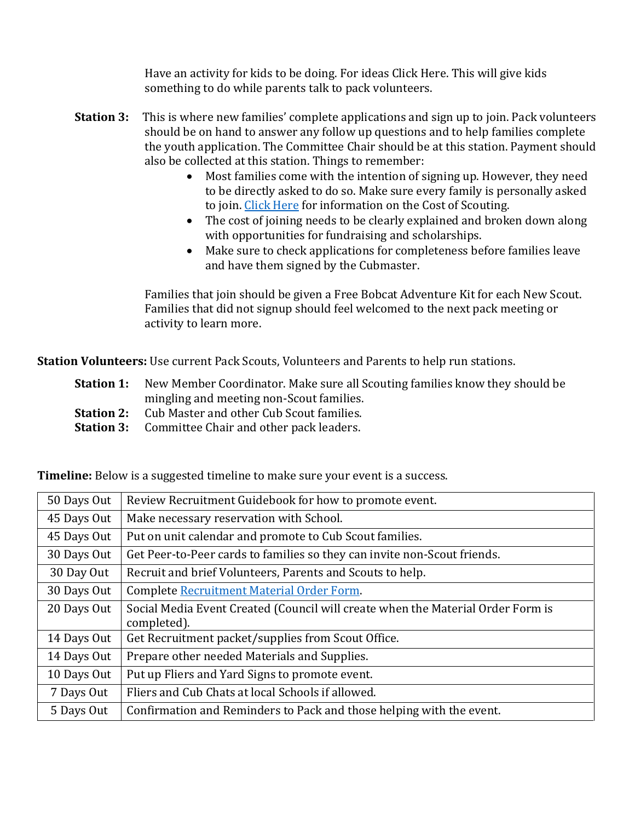Have an activity for kids to be doing. For ideas Click Here. This will give kids something to do while parents talk to pack volunteers.

- **Station 3:** This is where new families' complete applications and sign up to join. Pack volunteers should be on hand to answer any follow up questions and to help families complete the youth application. The Committee Chair should be at this station. Payment should also be collected at this station. Things to remember:
	- Most families come with the intention of signing up. However, they need to be directly asked to do so. Make sure every family is personally asked to join. [Click Here](https://threefirescouncil.org/cost-of-cub-scouting/) for information on the Cost of Scouting.
	- The cost of joining needs to be clearly explained and broken down along with opportunities for fundraising and scholarships.
	- Make sure to check applications for completeness before families leave and have them signed by the Cubmaster.

Families that join should be given a Free Bobcat Adventure Kit for each New Scout. Families that did not signup should feel welcomed to the next pack meeting or activity to learn more.

**Station Volunteers:** Use current Pack Scouts, Volunteers and Parents to help run stations.

- **Station 1:** New Member Coordinator. Make sure all Scouting families know they should be mingling and meeting non-Scout families.
- **Station 2:** Cub Master and other Cub Scout families.
- **Station 3:** Committee Chair and other pack leaders.

| 50 Days Out | Review Recruitment Guidebook for how to promote event.                                         |
|-------------|------------------------------------------------------------------------------------------------|
| 45 Days Out | Make necessary reservation with School.                                                        |
| 45 Days Out | Put on unit calendar and promote to Cub Scout families.                                        |
| 30 Days Out | Get Peer-to-Peer cards to families so they can invite non-Scout friends.                       |
| 30 Day Out  | Recruit and brief Volunteers, Parents and Scouts to help.                                      |
| 30 Days Out | Complete Recruitment Material Order Form.                                                      |
| 20 Days Out | Social Media Event Created (Council will create when the Material Order Form is<br>completed). |
| 14 Days Out | Get Recruitment packet/supplies from Scout Office.                                             |
| 14 Days Out | Prepare other needed Materials and Supplies.                                                   |
| 10 Days Out | Put up Fliers and Yard Signs to promote event.                                                 |
| 7 Days Out  | Fliers and Cub Chats at local Schools if allowed.                                              |
| 5 Days Out  | Confirmation and Reminders to Pack and those helping with the event.                           |
|             |                                                                                                |

**Timeline:** Below is a suggested timeline to make sure your event is a success.